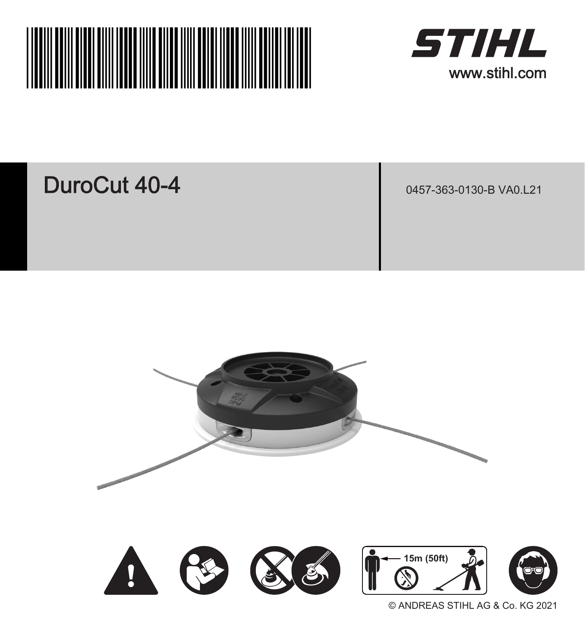



### DuroCut 40-4

0457-363-0130-B VA0.L21



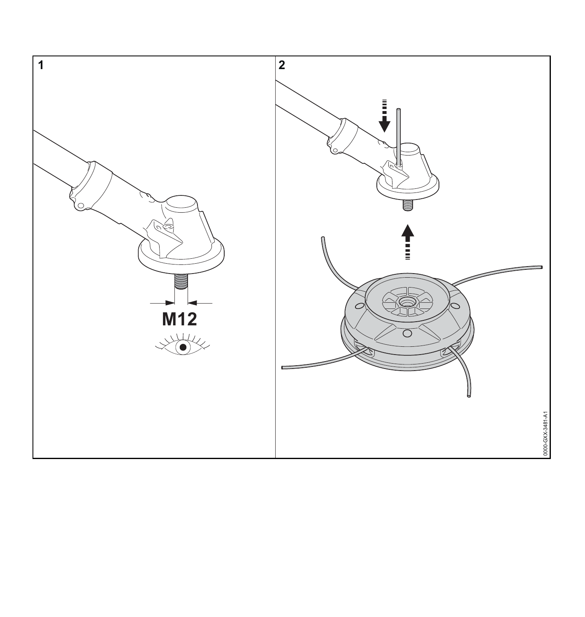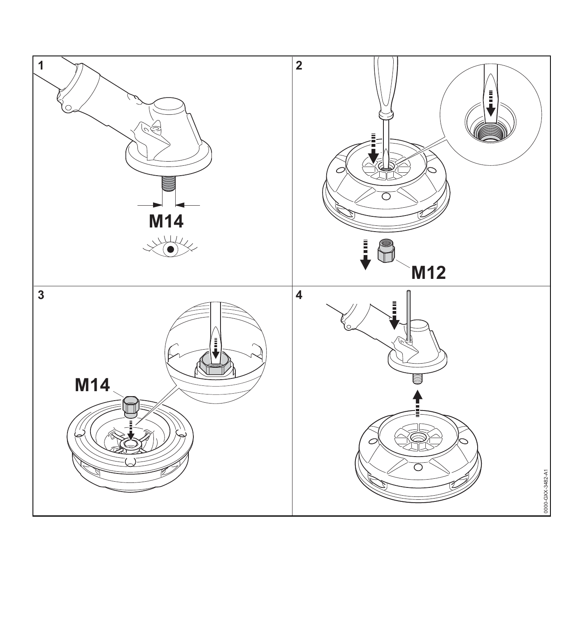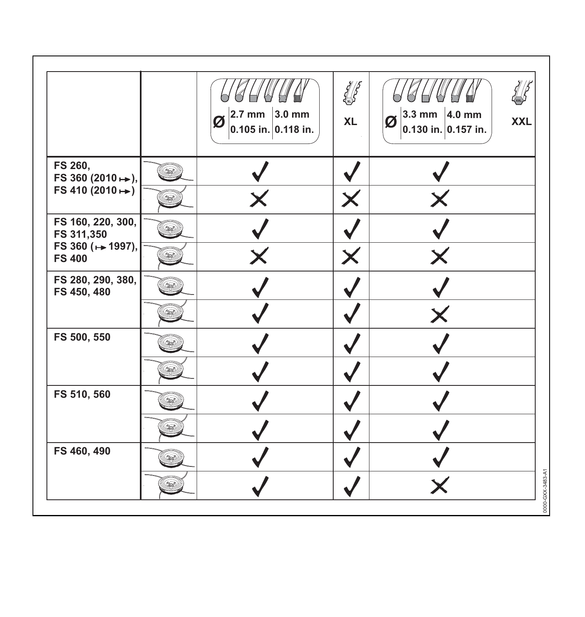|                                                                       | $2.7$ mm $ 3.0$ mm<br>Ø<br>0.105 in. 0.118 in. | $\frac{1}{2}$<br><b>XL</b> | 3.3 mm $ 4.0$ mm<br>ø<br>0.130 in. 0.157 in. | <b>XXL</b> |
|-----------------------------------------------------------------------|------------------------------------------------|----------------------------|----------------------------------------------|------------|
| FS 260,<br>FS 360 (2010 ↔),<br>FS 410 $(2010 + )$                     |                                                |                            |                                              |            |
| FS 160, 220, 300,<br>FS 311,350<br>FS 360 (++ 1997),<br><b>FS 400</b> |                                                |                            |                                              |            |
| FS 280, 290, 380,<br>FS 450, 480                                      |                                                |                            |                                              |            |
| FS 500, 550                                                           |                                                |                            |                                              |            |
| FS 510, 560                                                           |                                                |                            |                                              |            |
| FS 460, 490                                                           |                                                |                            |                                              |            |
|                                                                       |                                                |                            |                                              |            |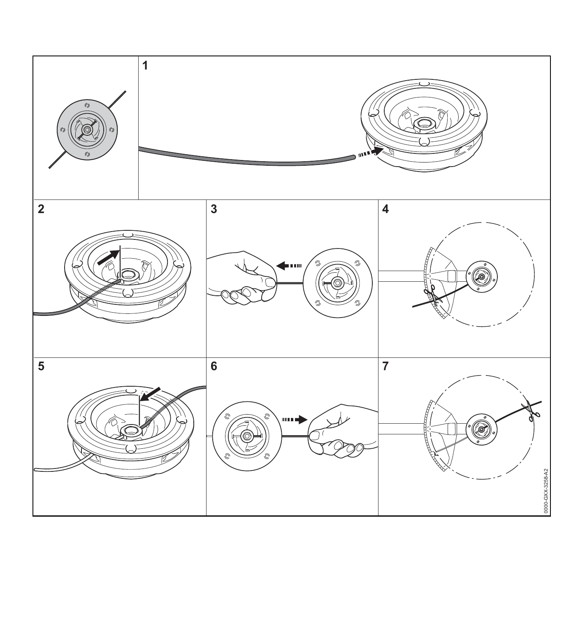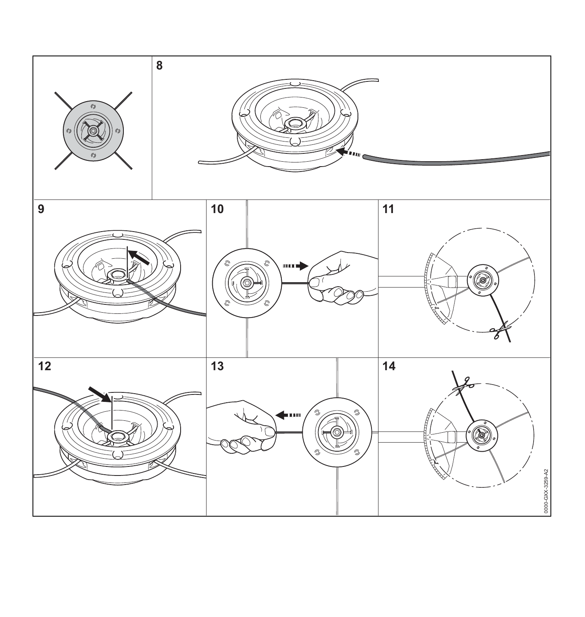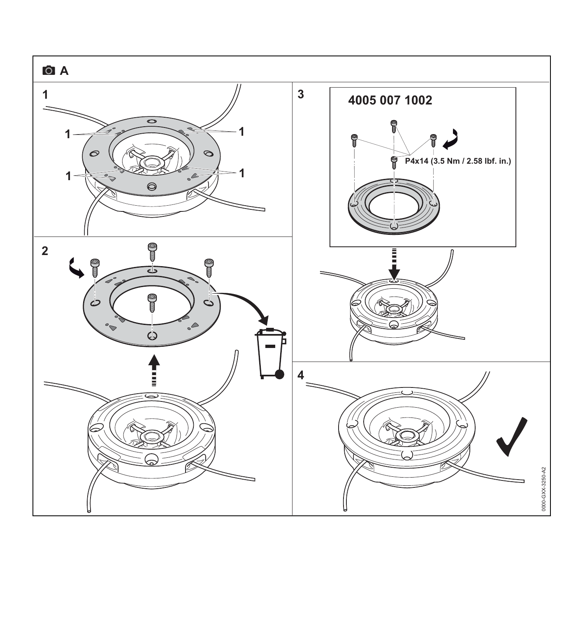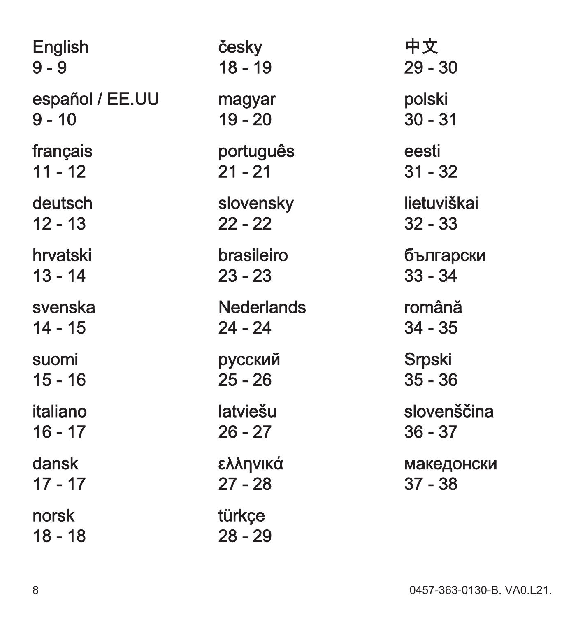| English         | česky         |
|-----------------|---------------|
| 9 - 9           | 18 - 19       |
| español / EE.UU | magyar        |
| 9 - 10          | 19 - 20       |
| français        | portugu       |
| 11 - 12         | 21 - 21       |
| deutsch         | slovens       |
| 12 - 13         | $22 - 22$     |
| hrvatski        | brasilei      |
| 13 - 14         | 23 - 23       |
| svenska         | Nederk        |
| 14 - 15         | 24 - 24       |
| suomi           | <b>русски</b> |
| 15 - 16         | $25 - 26$     |
| italiano        | latviešu      |
| 16 - 17         | 26 - 27       |
| dansk           | ελληνικ       |
| 17 - 17         | $27 - 28$     |
| norsk           | türkçe        |
| 18 - 18         | 28 - 29       |

česky  $18 - 19$ magyar  $19 - 20$ português  $21 - 21$ slovensky  $22 - 22$ brasileiro  $23 - 23$ **Nederlands**  $24 - 24$ русский  $25 - 26$ latviešu  $26 - 27$ ελληνικά  $27 - 28$ türkçe

 $29 - 30$ polski  $30 - 31$ eesti  $31 - 32$ lietuviškai  $32 - 33$ български  $33 - 34$ română  $34 - 35$ Srpski  $35 - 36$ slovenščina  $36 - 37$ македонски  $37 - 38$ 

中文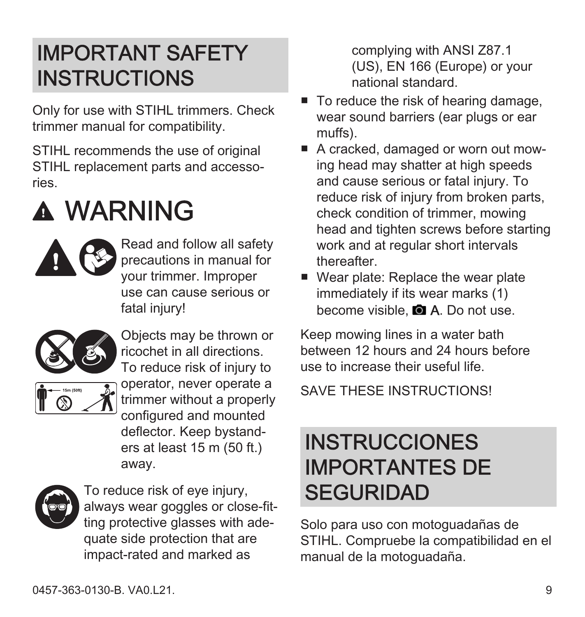#### <span id="page-8-0"></span>IMPORTANT SAFETY **INSTRUCTIONS**

Only for use with STIHL trimmers. Check trimmer manual for compatibility.

STIHL recommends the use of original STIHL replacement parts and accessories.

# WARNING



Read and follow all safety precautions in manual for your trimmer. Improper use can cause serious or fatal injury!



Objects may be thrown or ricochet in all directions. To reduce risk of injury to operator, never operate a trimmer without a properly configured and mounted deflector. Keep bystand‐ ers at least 15 m (50 ft.) away.



To reduce risk of eye injury, always wear goggles or close-fitting protective glasses with adequate side protection that are impact-rated and marked as

complying with ANSI Z87.1 (US), EN 166 (Europe) or your national standard.

- To reduce the risk of hearing damage. wear sound barriers (ear plugs or ear muffs).
- A cracked, damaged or worn out mowing head may shatter at high speeds and cause serious or fatal injury. To reduce risk of injury from broken parts, check condition of trimmer, mowing head and tighten screws before starting work and at regular short intervals thereafter.
- Wear plate: Replace the wear plate immediately if its wear marks (1) become visible. **a** A. Do not use.

Keep mowing lines in a water bath between 12 hours and 24 hours before use to increase their useful life.

SAVE THESE INSTRUCTIONS!

#### **INSTRUCCIONES** IMPORTANTES DE **SEGURIDAD**

Solo para uso con motoguadañas de STIHL. Compruebe la compatibilidad en el manual de la motoguadaña.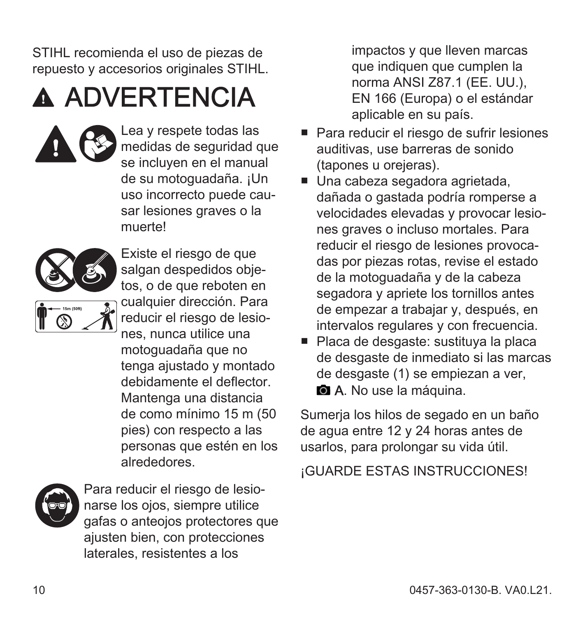STIHL recomienda el uso de piezas de repuesto y accesorios originales STIHL.

## **A ADVERTENCIA**

Lea y respete todas las medidas de seguridad que se incluyen en el manual de su motoguadaña. ¡Un uso incorrecto puede cau‐ sar lesiones graves o la muerte!



dañada o gastada podría romperse a velocidades elevadas y provocar lesio‐ nes graves o incluso mortales. Para reducir el riesgo de lesiones provoca‐ das por piezas rotas, revise el estado de la motoguadaña y de la cabeza segadora y apriete los tornillos antes de empezar a trabajar y, después, en intervalos regulares y con frecuencia.

impactos y que lleven marcas que indiquen que cumplen la norma ANSI Z87.1 (EE. UU.), EN 166 (Europa) o el estándar aplicable en su país.

■ Placa de desgaste: sustituva la placa de desgaste de inmediato si las marcas de desgaste (1) se empiezan a ver, **a** A. No use la máquina.

Sumerja los hilos de segado en un baño de agua entre 12 y 24 horas antes de usarlos, para prolongar su vida útil.

¡GUARDE ESTAS INSTRUCCIONES!



Para reducir el riesgo de lesio‐ narse los ojos, siempre utilice gafas o anteojos protectores que ajusten bien, con protecciones laterales, resistentes a los

alrededores.

motoguadaña que no tenga ajustado y montado debidamente el deflector. Mantenga una distancia de como mínimo 15 m (50 pies) con respecto a las personas que estén en los

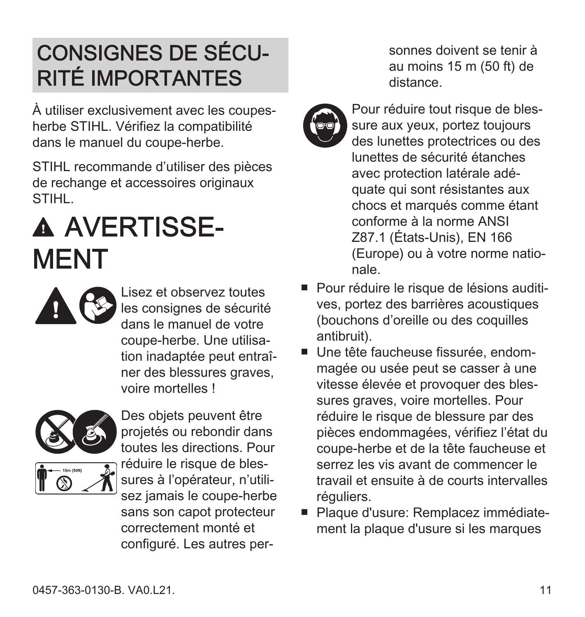#### <span id="page-10-0"></span>CONSIGNES DE SÉCU‐ RITÉ IMPORTANTES

À utiliser exclusivement avec les coupesherbe STIHL. Vérifiez la compatibilité dans le manuel du coupe-herbe.

STIHL recommande d'utiliser des pièces de rechange et accessoires originaux **STIHL.** 

# A AVERTISSE-**MENT**

Lisez et observez toutes les consignes de sécurité dans le manuel de votre coupe-herbe. Une utilisa‐ tion inadaptée peut entraî‐ ner des blessures graves. voire mortelles !



projetés ou rebondir dans toutes les directions. Pour réduire le risque de blessures à l'opérateur, n'utili‐ sez jamais le coupe-herbe sans son capot protecteur

Des objets peuvent être

correctement monté et configuré. Les autres per‐

sonnes doivent se tenir à au moins 15 m (50 ft) de distance.



Pour réduire tout risque de blessure aux yeux, portez toujours des lunettes protectrices ou des lunettes de sécurité étanches avec protection latérale adé‐ quate qui sont résistantes aux chocs et marqués comme étant conforme à la norme ANSI Z87.1 (États-Unis), EN 166 (Europe) ou à votre norme natio‐ nale.

- Pour réduire le risque de lésions auditives, portez des barrières acoustiques (bouchons d'oreille ou des coquilles antibruit).
- Une tête faucheuse fissurée, endommagée ou usée peut se casser à une vitesse élevée et provoquer des bles‐ sures graves, voire mortelles. Pour réduire le risque de blessure par des pièces endommagées, vérifiez l'état du coupe-herbe et de la tête faucheuse et serrez les vis avant de commencer le travail et ensuite à de courts intervalles réguliers.
- Plaque d'usure: Remplacez immédiatement la plaque d'usure si les marques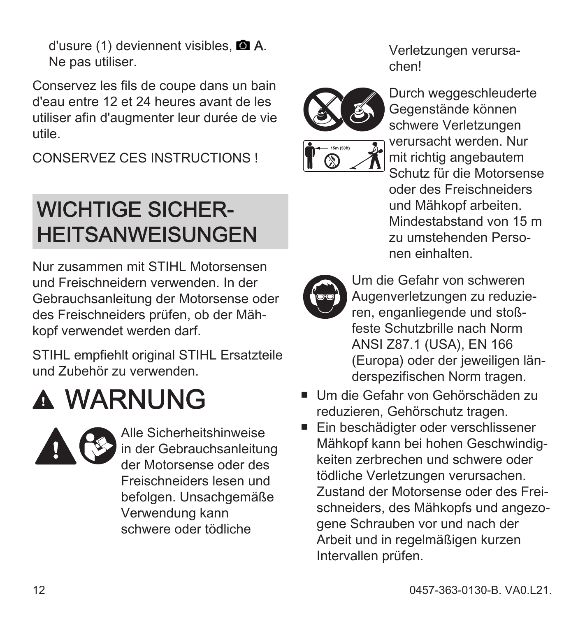<span id="page-11-0"></span>d'usure  $(1)$  deviennent visibles.  $\blacksquare$  A. Ne pas utiliser.

Conservez les fils de coupe dans un bain d'eau entre 12 et 24 heures avant de les utiliser afin d'augmenter leur durée de vie utile.

CONSERVEZ CES INSTRUCTIONS !

#### WICHTIGE SICHER‐ **HEITSANWEISUNGEN**

Nur zusammen mit STIHL Motorsensen und Freischneidern verwenden. In der Gebrauchsanleitung der Motorsense oder des Freischneiders prüfen, ob der Mäh‐ kopf verwendet werden darf.

STIHL empfiehlt original STIHL Ersatzteile und Zubehör zu verwenden.

### **A WARNUNG**



Alle Sicherheitshinweise in der Gebrauchsanleitung der Motorsense oder des Freischneiders lesen und befolgen. Unsachgemäße Verwendung kann schwere oder tödliche

Verletzungen verursa‐ chen!



schwere Verletzungen verursacht werden. Nur mit richtig angebautem Schutz für die Motorsense oder des Freischneiders und Mähkopf arbeiten. Mindestabstand von 15 m

Um die Gefahr von schweren Augenverletzungen zu reduzie‐ ren, enganliegende und stoß‐ feste Schutzbrille nach Norm ANSI Z87.1 (USA), EN 166 (Europa) oder der jeweiligen län‐ derspezifischen Norm tragen.

zu umstehenden Personen einhalten.

- Um die Gefahr von Gehörschäden zu reduzieren, Gehörschutz tragen.
- Ein beschädigter oder verschlissener Mähkopf kann bei hohen Geschwindig‐ keiten zerbrechen und schwere oder tödliche Verletzungen verursachen. Zustand der Motorsense oder des Frei‐ schneiders, des Mähkopfs und angezo‐ gene Schrauben vor und nach der Arbeit und in regelmäßigen kurzen Intervallen prüfen.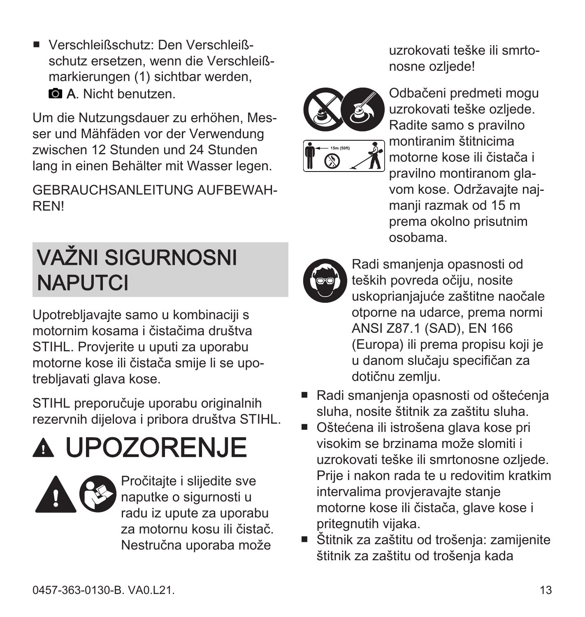<span id="page-12-0"></span>■ Verschleißschutz: Den Verschleiß‐ schutz ersetzen, wenn die Verschleißmarkierungen (1) sichtbar werden, **a.** A. Nicht benutzen.

Um die Nutzungsdauer zu erhöhen, Mes‐ ser und Mähfäden vor der Verwendung zwischen 12 Stunden und 24 Stunden lang in einen Behälter mit Wasser legen.

GEBRAUCHSANLEITUNG AUFBEWAH‐ REN!

#### VAŽNI SIGURNOSNI **NAPUTCI**

Upotrebljavajte samo u kombinaciji s motornim kosama i čistačima društva STIHL. Provjerite u uputi za uporabu motorne kose ili čistača smije li se upo‐ trebliavati glava kose.

STIHL preporučuje uporabu originalnih rezervnih dijelova i pribora društva STIHL.

# UPOZORENJE



Pročitajte i slijedite sve naputke o sigurnosti u radu iz upute za uporabu za motornu kosu ili čistač. Nestručna uporaba može

uzrokovati teške ili smrto‐ nosne ozljede!



Odbačeni predmeti mogu uzrokovati teške ozljede. Radite samo s pravilno montiranim štitnicima motorne kose ili čistača i pravilno montiranom gla‐ vom kose. Održavajte naj‐ manji razmak od 15 m prema okolno prisutnim osobama.



Radi smanjenja opasnosti od teških povreda očiju, nosite uskoprianjajuće zaštitne naočale otporne na udarce, prema normi ANSI Z87.1 (SAD), EN 166 (Europa) ili prema propisu koji je u danom slučaju specifičan za dotičnu zemlju.

- Radi smanjenja opasnosti od oštećenja sluha, nosite štitnik za zaštitu sluha.
- Oštećena ili istrošena glava kose pri visokim se brzinama može slomiti i uzrokovati teške ili smrtonosne ozljede. Prije i nakon rada te u redovitim kratkim intervalima provjeravajte stanje motorne kose ili čistača, glave kose i pritegnutih vijaka.
- Štitnik za zaštitu od trošenia: zamijenite štitnik za zaštitu od trošenja kada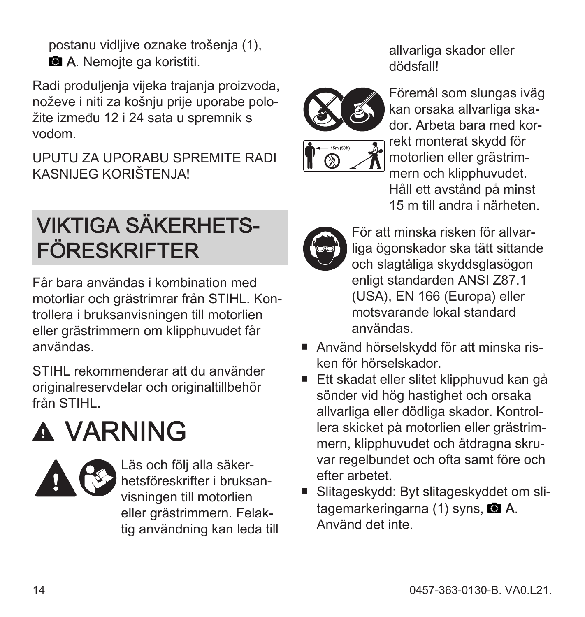<span id="page-13-0"></span>postanu vidljive oznake trošenja (1), **a.** A. Nemojte ga koristiti.

Radi produljenja vijeka trajanja proizvoda, noževe i niti za košnju prije uporabe polo‐ žite između 12 i 24 sata u spremnik s vodom.

UPUTU ZA UPORABU SPREMITE RADI KASNIJEG KORIŠTENJA!

#### VIKTIGA SÄKERHETS‐ FÖRESKRIFTER

Får bara användas i kombination med motorliar och grästrimrar från STIHL. Kon‐ trollera i bruksanvisningen till motorlien eller grästrimmern om klipphuvudet får användas.

STIHL rekommenderar att du använder originalreservdelar och originaltillbehör från STIHL.

# **A VARNING**



Läs och följ alla säker‐ hetsföreskrifter i bruksan‐ visningen till motorlien eller grästrimmern. Felak‐ tig användning kan leda till allvarliga skador eller dödsfall!



Föremål som slungas iväg kan orsaka allvarliga ska‐ dor. Arbeta bara med kor‐ rekt monterat skydd för motorlien eller grästrim‐ mern och klipphuvudet. Håll ett avstånd på minst 15 m till andra i närheten.



För att minska risken för allvar‐ liga ögonskador ska tätt sittande och slagtåliga skyddsglasögon enligt standarden ANSI Z87.1 (USA), EN 166 (Europa) eller motsvarande lokal standard användas.

- Använd hörselskydd för att minska ris‐ ken för hörselskador.
- Ett skadat eller slitet klipphuvud kan gå sönder vid hög hastighet och orsaka allvarliga eller dödliga skador. Kontrol‐ lera skicket på motorlien eller grästrim‐ mern, klipphuvudet och åtdragna skruvar regelbundet och ofta samt före och efter arbetet.
- Slitageskydd: Byt slitageskyddet om slitagemarkeringarna (1) syns, **a.A.** Använd det inte.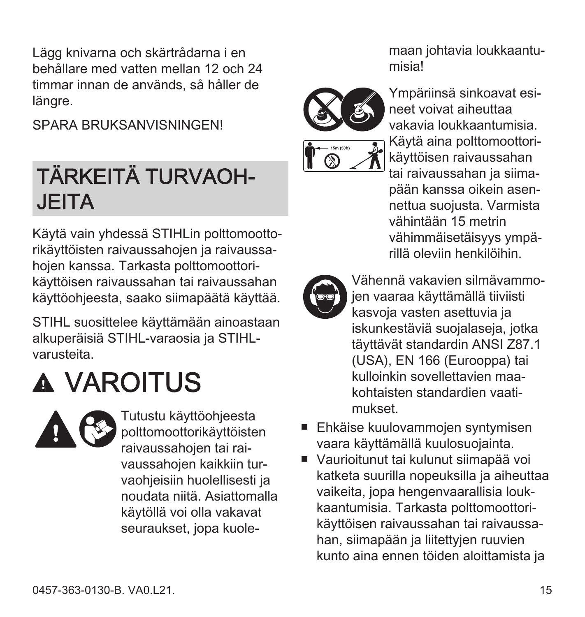<span id="page-14-0"></span>Lägg knivarna och skärtrådarna i en behållare med vatten mellan 12 och 24 timmar innan de används, så håller de längre.

SPARA BRUKSANVISNINGEN!

#### TÄRKEITÄ TURVAOH‐ **JEITA**

Käytä vain yhdessä STIHLin polttomootto‐ rikäyttöisten raivaussahojen ja raivaussa‐ hojen kanssa. Tarkasta polttomoottori‐ käyttöisen raivaussahan tai raivaussahan käyttöohjeesta, saako siimapäätä käyttää.

STIHL suosittelee käyttämään ainoastaan alkuperäisiä STIHL-varaosia ja STIHLvarusteita.

## VAROITUS



Tutustu käyttöohjeesta polttomoottorikäyttöisten raivaussahojen tai rai‐ vaussahojen kaikkiin tur‐ vaohjeisiin huolellisesti ja noudata niitä. Asiattomalla käytöllä voi olla vakavat seuraukset, jopa kuole‐

maan johtavia loukkaantu‐ misia!



Ympäriinsä sinkoavat esi‐ neet voivat aiheuttaa vakavia loukkaantumisia. Käytä aina polttomoottori‐ käyttöisen raivaussahan tai raivaussahan ja siimapään kanssa oikein asen‐ nettua suojusta. Varmista vähintään 15 metrin vähimmäisetäisyys ympä‐ rillä oleviin henkilöihin.



Vähennä vakavien silmävammo‐ jen vaaraa käyttämällä tiiviisti kasvoja vasten asettuvia ja iskunkestäviä suojalaseja, jotka täyttävät standardin ANSI Z87.1 (USA), EN 166 (Eurooppa) tai kulloinkin sovellettavien maa‐ kohtaisten standardien vaati‐ mukset.

- Ehkäise kuulovammoien syntymisen vaara käyttämällä kuulosuojainta.
- Vaurioitunut tai kulunut siimapää voi katketa suurilla nopeuksilla ja aiheuttaa vaikeita, jopa hengenvaarallisia louk‐ kaantumisia. Tarkasta polttomoottori‐ käyttöisen raivaussahan tai raivaussa‐ han, siimapään ja liitettyjen ruuvien kunto aina ennen töiden aloittamista ja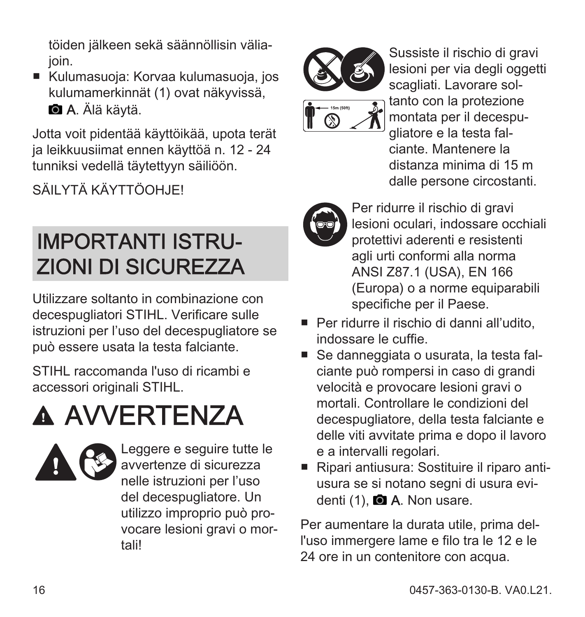<span id="page-15-0"></span>töiden jälkeen sekä säännöllisin välia‐ ioin.

■ Kulumasuoja: Korvaa kulumasuoja, jos kulumamerkinnät (1) ovat näkyvissä, **A.** Älä käytä.

Jotta voit pidentää käyttöikää, upota terät ja leikkuusiimat ennen käyttöä n. 12 - 24 tunniksi vedellä täytettyyn säiliöön.

SÄII YTÄ KÄYTTÖOHJEI

### IMPORTANTI ISTRU‐ ZIONI DI SICUREZZA

Utilizzare soltanto in combinazione con decespugliatori STIHL. Verificare sulle istruzioni per l'uso del decespugliatore se può essere usata la testa falciante.

STIHL raccomanda l'uso di ricambi e accessori originali STIHL.

# **A AVVERTENZA**



Leggere e seguire tutte le avvertenze di sicurezza nelle istruzioni per l'uso del decespugliatore. Un utilizzo improprio può pro‐ vocare lesioni gravi o mor‐ tali!





Sussiste il rischio di gravi lesioni per via degli oggetti scagliati. Lavorare sol‐ tanto con la protezione montata per il decespu‐ gliatore e la testa fal‐ ciante. Mantenere la distanza minima di 15 m dalle persone circostanti.



Per ridurre il rischio di gravi lesioni oculari, indossare occhiali protettivi aderenti e resistenti agli urti conformi alla norma ANSI Z87.1 (USA), EN 166 (Europa) o a norme equiparabili specifiche per il Paese.

- Per ridurre il rischio di danni all'udito, indossare le cuffie.
- Se danneggiata o usurata, la testa falciante può rompersi in caso di grandi velocità e provocare lesioni gravi o mortali. Controllare le condizioni del decespugliatore, della testa falciante e delle viti avvitate prima e dopo il lavoro e a intervalli regolari.
- Ripari antiusura: Sostituire il riparo antiusura se si notano segni di usura evi‐ denti (1), **Q A**. Non usare.

Per aumentare la durata utile, prima del‐ l'uso immergere lame e filo tra le 12 e le 24 ore in un contenitore con acqua.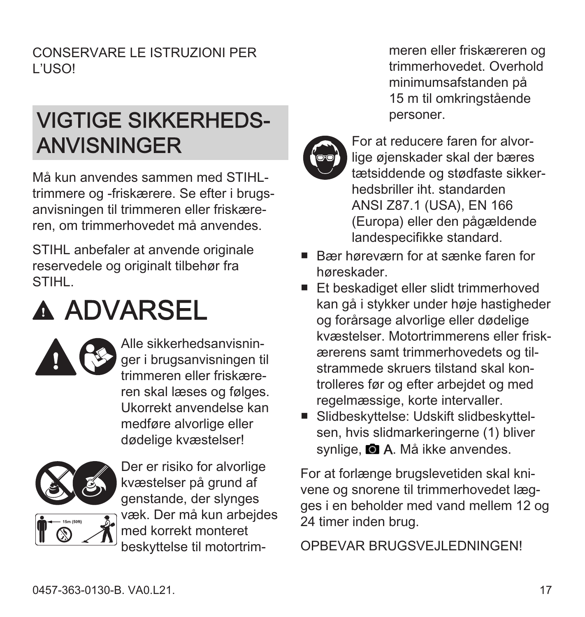<span id="page-16-0"></span>CONSERVARE LE ISTRUZIONI PER L'USO!

#### VIGTIGE SIKKERHEDS‐ ANVISNINGER

Må kun anvendes sammen med STIHLtrimmere og -friskærere. Se efter i brugs‐ anvisningen til trimmeren eller friskære‐ ren, om trimmerhovedet må anvendes.

STIHL anbefaler at anvende originale reservedele og originalt tilbehør fra **STIHL.** 

### **A ADVARSEL**



Alle sikkerhedsanvisnin‐ ger i brugsanvisningen til trimmeren eller friskære‐ ren skal læses og følges. Ukorrekt anvendelse kan medføre alvorlige eller dødelige kvæstelser!



Der er risiko for alvorlige kvæstelser på grund af genstande, der slynges væk. Der må kun arbejdes med korrekt monteret beskyttelse til motortrim‐

meren eller friskæreren og trimmerhovedet. Overhold minimumsafstanden på 15 m til omkringstående personer.



For at reducere faren for alvor‐ lige øjenskader skal der bæres tætsiddende og stødfaste sikker‐ hedsbriller iht. standarden ANSI Z87.1 (USA), EN 166 (Europa) eller den pågældende landespecifikke standard.

- Bær høreværn for at sænke faren for høreskader.
- Et beskadiget eller slidt trimmerhoved kan gå i stykker under høje hastigheder og forårsage alvorlige eller dødelige kvæstelser. Motortrimmerens eller frisk‐ ærerens samt trimmerhovedets og til‐ strammede skruers tilstand skal kon‐ trolleres før og efter arbejdet og med regelmæssige, korte intervaller.
- Slidbeskyttelse: Udskift slidbeskyttelsen, hvis slidmarkeringerne (1) bliver synlige. **A. Må ikke anvendes.**

For at forlænge brugslevetiden skal kni‐ vene og snorene til trimmerhovedet læg‐ ges i en beholder med vand mellem 12 og 24 timer inden brug.

OPBEVAR BRUGSVEJLEDNINGEN!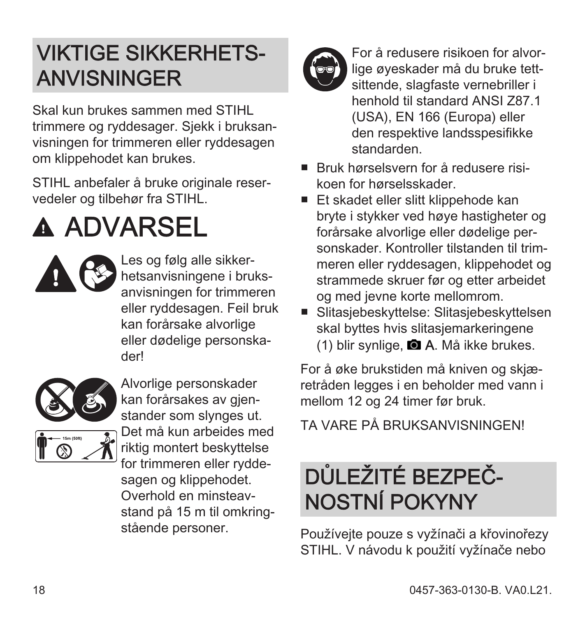#### <span id="page-17-0"></span>VIKTIGE SIKKERHETS‐ ANVISNINGER

Skal kun brukes sammen med STIHL trimmere og ryddesager. Sjekk i bruksan‐ visningen for trimmeren eller ryddesagen om klippehodet kan brukes.

STIHL anbefaler å bruke originale reser‐ vedeler og tilbehør fra STIHL.

# **A ADVARSEL**



Les og følg alle sikker‐ hetsanvisningene i bruks‐ anvisningen for trimmeren eller ryddesagen. Feil bruk kan forårsake alvorlige eller dødelige personska‐ der!



Alvorlige personskader kan forårsakes av gienstander som slynges ut. Det må kun arbeides med riktig montert beskyttelse for trimmeren eller rydde‐ sagen og klippehodet. Overhold en minsteav‐ stand på 15 m til omkring‐ stående personer.



For å redusere risikoen for alvor‐ lige øyeskader må du bruke tett‐ sittende, slagfaste vernebriller i henhold til standard ANSI Z87.1 (USA), EN 166 (Europa) eller den respektive landsspesifikke standarden.

- Bruk hørselsvern for å redusere risi‐ koen for hørselsskader.
- Et skadet eller slitt klippehode kan bryte i stykker ved høye hastigheter og forårsake alvorlige eller dødelige per‐ sonskader. Kontroller tilstanden til trim‐ meren eller ryddesagen, klippehodet og strammede skruer før og etter arbeidet og med jevne korte mellomrom.
- Slitasiebeskyttelse: Slitasiebeskyttelsen skal byttes hvis slitasjemarkeringene (1) blir synlige. **A.** Må ikke brukes.

For å øke brukstiden må kniven og skjæ‐ retråden legges i en beholder med vann i mellom 12 og 24 timer før bruk.

TA VARE PÅ BRUKSANVISNINGEN!

### DŮLEŽITÉ BEZPEČ‐ NOSTNÍ POKYNY

Používejte pouze s vyžínači a křovinořezy STIHL. V návodu k použití vyžínače nebo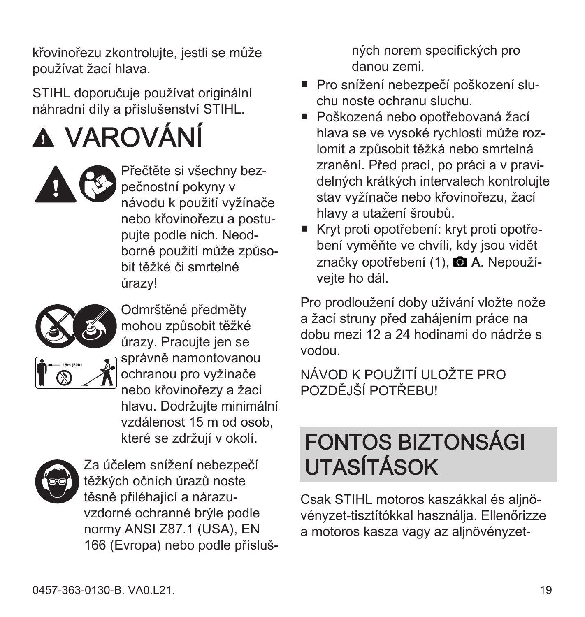<span id="page-18-0"></span>křovinořezu zkontrolujte, jestli se může používat žací hlava.

STIHL doporučuje používat originální náhradní díly a příslušenství STIHL.

VAROVÁNÍ



Přečtěte si všechny bez‐ pečnostní pokyny v návodu k použití vyžínače nebo křovinořezu a postu‐ pujte podle nich. Neod‐ borné použití může způso‐ bit těžké či smrtelné úrazy!



Odmrštěné předměty mohou způsobit těžké úrazy. Pracujte jen se správně namontovanou



ochranou pro vyžínače nebo křovinořezy a žací hlavu. Dodržujte minimální vzdálenost 15 m od osob, které se zdržují v okolí.



Za účelem snížení nebezpečí těžkých očních úrazů noste těsně přiléhající a nárazu‐ vzdorné ochranné brýle podle normy ANSI Z87.1 (USA), EN 166 (Evropa) nebo podle přísluš‐ ných norem specifických pro danou zemi.

- Pro snížení nebezpečí poškození slu‐ chu noste ochranu sluchu.
- Poškozená nebo opotřebovaná žací hlava se ve vysoké rychlosti může roz‐ lomit a způsobit těžká nebo smrtelná zranění. Před prací, po práci a v pravi‐ delných krátkých intervalech kontrolujte stav vyžínače nebo křovinořezu, žací hlavy a utažení šroubů.
- Kryt proti opotřebení: kryt proti opotřebení vyměňte ve chvíli, kdy jsou vidět značky opotřebení (1). ■ A. Nepoužívejte ho dál.

Pro prodloužení doby užívání vložte nože a žací struny před zahájením práce na dobu mezi 12 a 24 hodinami do nádrže s vodou.

NÁVOD K POUŽITÍ ULOŽTE PRO POZDĚJŠÍ POTŘEBU!

#### FONTOS BIZTONSÁGI UTASÍTÁSOK

Csak STIHL motoros kaszákkal és aljnö‐ vényzet-tisztítókkal használja. Ellenőrizze a motoros kasza vagy az aljnövényzet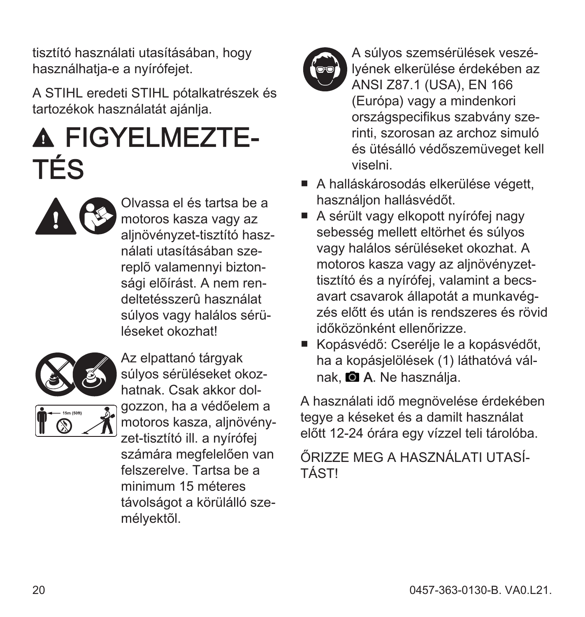tisztító használati utasításában, hogy használhatja-e a nyírófejet.

A STIHL eredeti STIHL pótalkatrészek és tartozékok használatát ajánlja.

## **A FIGYELMEZTE-**TÉS



Olvassa el és tartsa be a motoros kasza vagy az alinövényzet-tisztító használati utasításában sze‐ replõ valamennyi bizton‐ sági elõírást. A nem ren‐ deltetésszerû használat súlyos vagy halálos sérü‐ léseket okozhat!



Az elpattanó tárgyak súlyos sérüléseket okoz‐ hatnak. Csak akkor dol‐ gozzon, ha a védőelem a motoros kasza, alinövényzet-tisztító ill. a nyírófej számára megfelelően van felszerelve. Tartsa be a minimum 15 méteres távolságot a körülálló sze‐ mélyektõl.



A súlyos szemsérülések veszé‐ lyének elkerülése érdekében az ANSI Z87.1 (USA), EN 166 (Európa) vagy a mindenkori országspecifikus szabvány sze‐ rinti, szorosan az archoz simuló és ütésálló védőszemüveget kell viselni.

- A halláskárosodás elkerülése végett, használjon hallásvédőt.
- A sérült vagy elkopott nyírófei nagy sebesség mellett eltörhet és súlyos vagy halálos sérüléseket okozhat. A motoros kasza vagy az aljnövényzettisztító és a nyírófej, valamint a becs‐ avart csavarok állapotát a munkavég‐ zés előtt és után is rendszeres és rövid időközönként ellenőrizze.
- Kopásvédő: Cserélje le a kopásvédőt, ha a kopásjelölések (1) láthatóvá vál‐ nak, **a** A. Ne használja.

A használati idő megnövelése érdekében tegye a késeket és a damilt használat előtt 12-24 órára egy vízzel teli tárolóba.

ŐRIZZE MEG A HASZNÁLATI UTASÍ‐ TÁST!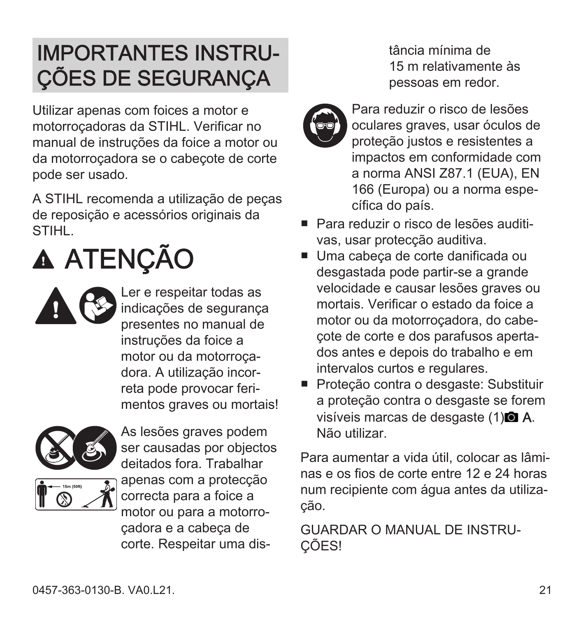#### <span id="page-20-0"></span>IMPORTANTES INSTRU‐ ÇÕES DE SEGURANÇA

Utilizar apenas com foices a motor e motorroçadoras da STIHL. Verificar no manual de instruções da foice a motor ou da motorroçadora se o cabeçote de corte pode ser usado.

A STIHL recomenda a utilização de peças de reposição e acessórios originais da STIHL.

# A ATENÇÃO

Ler e respeitar todas as indicações de segurança presentes no manual de instruções da foice a motor ou da motorroça‐ dora. A utilização incor‐ reta pode provocar feri‐ mentos graves ou mortais!



As lesões graves podem ser causadas por objectos deitados fora. Trabalhar apenas com a protecção correcta para a foice a motor ou para a motorro‐ çadora e a cabeça de corte. Respeitar uma dis‐

tância mínima de 15 m relativamente às pessoas em redor.



Para reduzir o risco de lesões oculares graves, usar óculos de proteção justos e resistentes a impactos em conformidade com a norma ANSI Z87.1 (EUA), EN 166 (Europa) ou a norma espe‐ cífica do país.

- Para reduzir o risco de lesões auditi‐ vas, usar protecção auditiva.
- Uma cabeca de corte danificada ou desgastada pode partir-se a grande velocidade e causar lesões graves ou mortais. Verificar o estado da foice a motor ou da motorroçadora, do cabe‐ çote de corte e dos parafusos aperta‐ dos antes e depois do trabalho e em intervalos curtos e regulares.
- Proteção contra o desgaste: Substituir a proteção contra o desgaste se forem visíveis marcas de desgaste (1)<sup>(2)</sup> A. Não utilizar.

Para aumentar a vida útil, colocar as lâmi‐ nas e os fios de corte entre 12 e 24 horas num recipiente com água antes da utiliza‐ ção.

GUARDAR O MANUAL DE INSTRUL ÇÕES!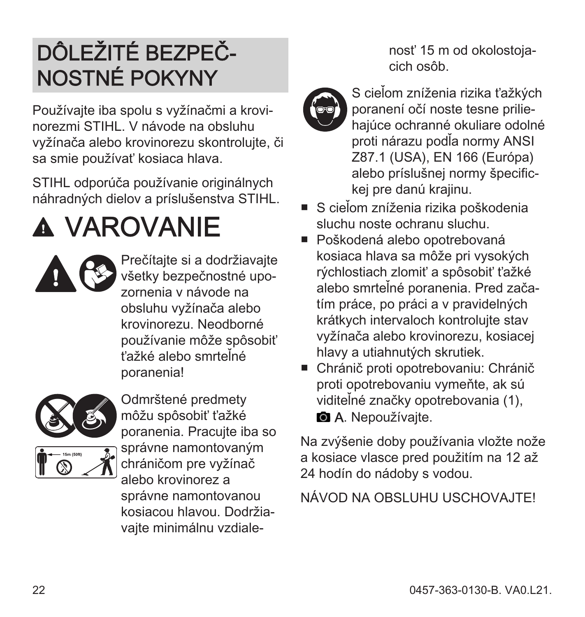### <span id="page-21-0"></span>DÔLEŽITÉ BEZPEČ‐ NOSTNÉ POKYNY

Používajte iba spolu s vyžínačmi a krovi‐ norezmi STIHL. V návode na obsluhu vyžínača alebo krovinorezu skontrolujte, či sa smie používať kosiaca hlava.

STIHL odporúča používanie originálnych náhradných dielov a príslušenstva STIHL.

# VAROVANIE



Prečítajte si a dodržiavajte všetky bezpečnostné upo‐ zornenia v návode na obsluhu vyžínača alebo krovinorezu. Neodborné používanie môže spôsobiť ťažké alebo smrteľné poranenia!



Odmrštené predmety môžu spôsobiť ťažké poranenia. Pracujte iba so správne namontovaným chráničom pre vyžínač alebo krovinorez a správne namontovanou kosiacou hlavou. Dodržia‐ vajte minimálnu vzdiale‐

nosť 15 m od okolostoja‐ cich osôb.



S cieľom zníženia rizika ťažkých poranení očí noste tesne prilie‐ hajúce ochranné okuliare odolné proti nárazu podľa normy ANSI Z87.1 (USA), EN 166 (Európa) alebo príslušnej normy špecific‐ kej pre danú krajinu.

- S cieľom zníženia rizika poškodenia sluchu noste ochranu sluchu.
- Poškodená alebo opotrebovaná kosiaca hlava sa môže pri vysokých rýchlostiach zlomiť a spôsobiť ťažké alebo smrteľné poranenia. Pred zača‐ tím práce, po práci a v pravidelných krátkych intervaloch kontrolujte stav vyžínača alebo krovinorezu, kosiacej hlavy a utiahnutých skrutiek.
- Chránič proti opotrebovaniu: Chránič proti opotrebovaniu vymeňte, ak sú viditeľné značky opotrebovania (1), **A.** Nepoužívaite.

Na zvýšenie doby používania vložte nože a kosiace vlasce pred použitím na 12 až 24 hodín do nádoby s vodou.

#### NÁVOD NA OBSLUHU USCHOVAJTE!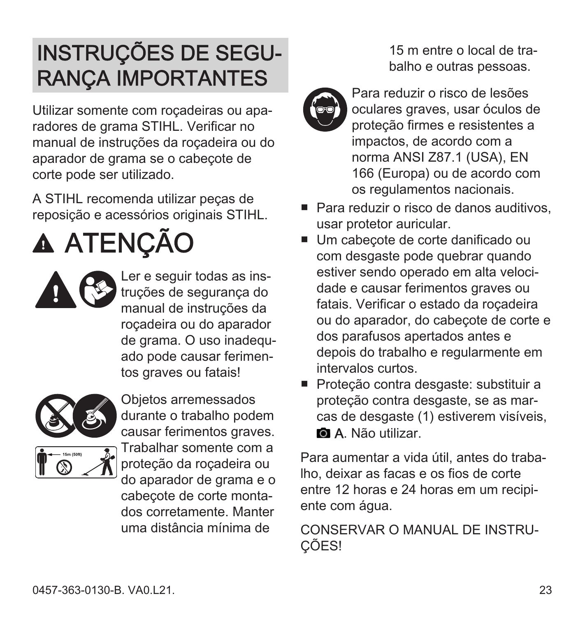#### <span id="page-22-0"></span>INSTRUÇÕES DE SEGU‐ RANÇA IMPORTANTES

Utilizar somente com roçadeiras ou apa‐ radores de grama STIHL. Verificar no manual de instruções da roçadeira ou do aparador de grama se o cabeçote de corte pode ser utilizado.

A STIHL recomenda utilizar peças de reposição e acessórios originais STIHL.

# **A ATENÇÃO**



Ler e seguir todas as ins‐ truções de segurança do manual de instruções da roçadeira ou do aparador de grama. O uso inadequado pode causar ferimen‐ tos graves ou fatais!



Objetos arremessados durante o trabalho podem causar ferimentos graves. Trabalhar somente com a proteção da roçadeira ou do aparador de grama e o cabeçote de corte monta‐ dos corretamente. Manter uma distância mínima de

15 m entre o local de tra‐ balho e outras pessoas.



Para reduzir o risco de lesões oculares graves, usar óculos de proteção firmes e resistentes a impactos, de acordo com a norma ANSI Z87.1 (USA), EN 166 (Europa) ou de acordo com os regulamentos nacionais.

- Para reduzir o risco de danos auditivos, usar protetor auricular.
- Um cabecote de corte danificado ou com desgaste pode quebrar quando estiver sendo operado em alta veloci‐ dade e causar ferimentos graves ou fatais. Verificar o estado da roçadeira ou do aparador, do cabeçote de corte e dos parafusos apertados antes e depois do trabalho e regularmente em intervalos curtos.
- Proteção contra desgaste: substituir a proteção contra desgaste, se as mar‐ cas de desgaste (1) estiverem visíveis, **a.** A. Não utilizar.

Para aumentar a vida útil, antes do traba‐ lho, deixar as facas e os fios de corte entre 12 horas e 24 horas em um recipi‐ ente com água.

CONSERVAR O MANUAL DE INSTRU‐ ÇÕES!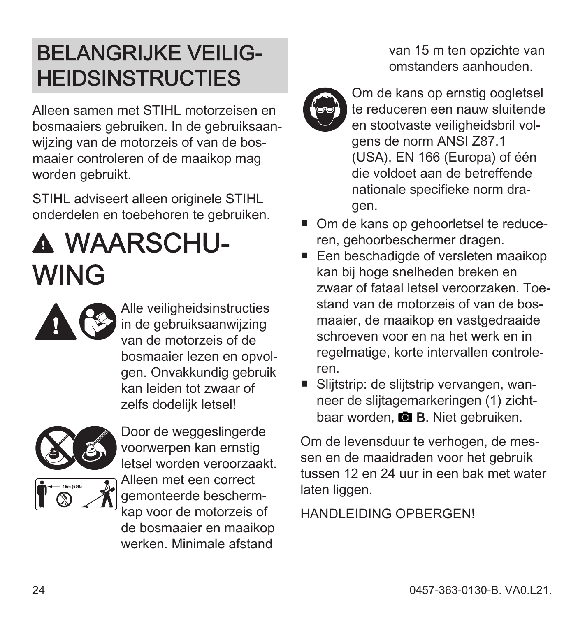#### <span id="page-23-0"></span>BELANGRIJKE VEILIG‐ **HEIDSINSTRUCTIES**

Alleen samen met STIHL motorzeisen en bosmaaiers gebruiken. In de gebruiksaan‐ wijzing van de motorzeis of van de bos‐ maaier controleren of de maaikop mag worden gebruikt.

STIHL adviseert alleen originele STIHL onderdelen en toebehoren te gebruiken.

### WAARSCHU‐ WING

Alle veiligheidsinstructies in de gebruiksaanwijzing van de motorzeis of de bosmaaier lezen en opvol‐ gen. Onvakkundig gebruik kan leiden tot zwaar of zelfs dodelijk letsel!



Door de weggeslingerde voorwerpen kan ernstig letsel worden veroorzaakt. Alleen met een correct gemonteerde bescherm‐ kap voor de motorzeis of de bosmaaier en maaikop werken. Minimale afstand

van 15 m ten opzichte van omstanders aanhouden.



Om de kans op ernstig oogletsel te reduceren een nauw sluitende en stootvaste veiligheidsbril vol‐ gens de norm ANSI Z87.1 (USA), EN 166 (Europa) of één die voldoet aan de betreffende nationale specifieke norm dra‐ gen.

- Om de kans op gehoorletsel te reduceren, gehoorbeschermer dragen.
- Een beschadigde of versleten maaikop kan bij hoge snelheden breken en zwaar of fataal letsel veroorzaken. Toe‐ stand van de motorzeis of van de bosmaaier, de maaikop en vastgedraaide schroeven voor en na het werk en in regelmatige, korte intervallen controle‐ ren.
- Sliitstrip: de sliitstrip vervangen, wanneer de slijtagemarkeringen (1) zicht‐ baar worden. **B. B.** Niet gebruiken.

Om de levensduur te verhogen, de mes‐ sen en de maaidraden voor het gebruik tussen 12 en 24 uur in een bak met water laten liggen.

HANDLEIDING OPBERGEN!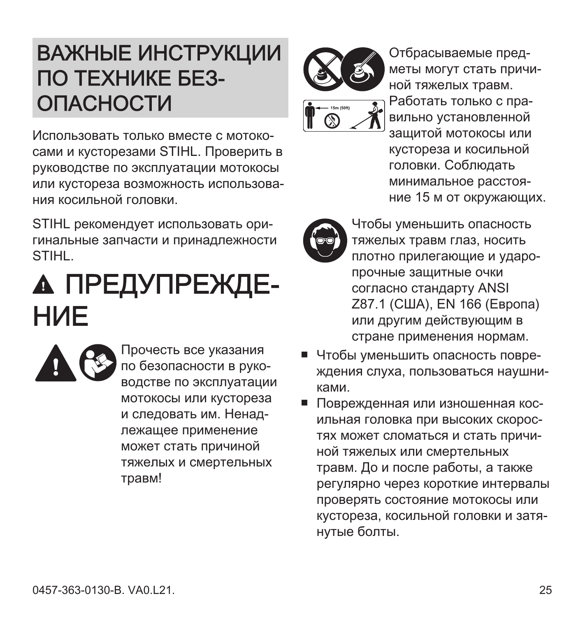#### <span id="page-24-0"></span>ВАЖНЫЕ ИНСТРУКЦИИ ПО ТЕХНИКЕ БЕЗ-**ОПАСНОСТИ**

Использовать только вместе с мотокосами и кусторезами STIHL. Проверить в руководстве по эксплуатации мотокосы или кустореза возможность использования косильной головки.

STIHL рекомендует использовать оригинальные запчасти и принадлежности **STIHL** 

### **А ПРЕДУПРЕЖДЕ-HIME**



Прочесть все указания по безопасности в руководстве по эксплуатации мотокосы или кустореза и следовать им. Ненадлежащее применение может стать причиной тяжелых и смертельных травм!



Отбрасываемые предметы могут стать причиной тяжелых травм. Работать только с правильно установленной зашитой мотокосы или кустореза и косильной головки. Соблюдать минимальное расстояние 15 м от окружающих.



- Чтобы уменьшить опасность тяжелых травм глаз, носить плотно прилегающие и ударопрочные зашитные очки согласно стандарту ANSI Z87.1 (США). EN 166 (Европа) или другим действующим в стране применения нормам.
- Чтобы уменьшить опасность повреждения слуха, пользоваться наушниками.
- Поврежденная или изношенная косильная головка при высоких скоростях может сломаться и стать причиной тяжелых или смертельных травм. До и после работы, а также регулярно через короткие интервалы проверять состояние мотокосы или кустореза, косильной головки и затянутые болты.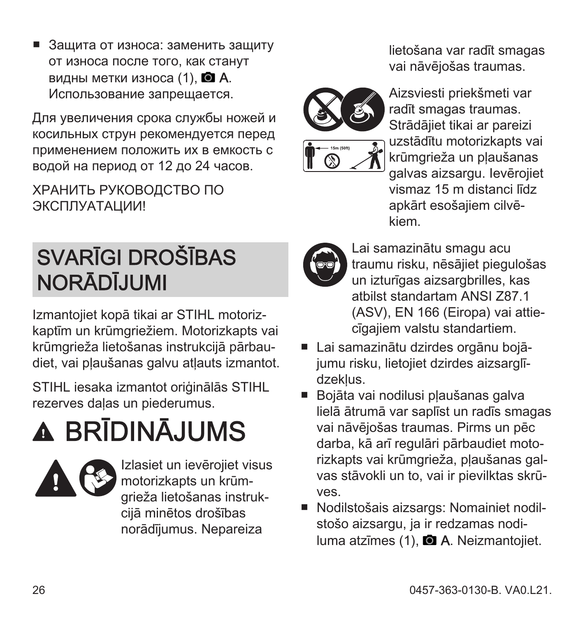<span id="page-25-0"></span>Зашита от износа: заменить зашиту от износа после того, как станут видны метки износа  $(1)$ .  $\blacksquare$  А. Использование запрещается.

Для увеличения срока службы ножей и косильных струн рекомендуется перед применением положить их в емкость с водой на период от 12 до 24 часов.

ХРАНИТЬ РУКОВОДСТВО ПО ЭКСПЛУАТАЦИИ!

#### SVARĪGI DROŠĪBAS NORĀDĪJUMI

Izmantojiet kopā tikai ar STIHL motoriz‐ kaptīm un krūmgriežiem. Motorizkapts vai krūmgrieža lietošanas instrukcijā pārbau‐ diet, vai pļaušanas galvu atļauts izmantot.

STIHL iesaka izmantot oriģinālās STIHL rezerves daļas un piederumus.

# BRĪDINĀJUMS



Izlasiet un ievērojiet visus motorizkapts un krūm‐ grieža lietošanas instruk‐ cijā minētos drošības norādījumus. Nepareiza

lietošana var radīt smagas vai nāvējošas traumas.



Aizsviesti priekšmeti var radīt smagas traumas. Strādājiet tikai ar pareizi uzstādītu motorizkapts vai krūmgrieža un pļaušanas galvas aizsargu. Ievērojiet vismaz 15 m distanci līdz apkārt esošajiem cilvē‐ kiem.

Lai samazinātu smagu acu traumu risku, nēsājiet piegulošas un izturīgas aizsargbrilles, kas atbilst standartam ANSI Z87.1 (ASV), EN 166 (Eiropa) vai attie‐ cīgajiem valstu standartiem.

- Lai samazinātu dzirdes orgānu bojājumu risku, lietojiet dzirdes aizsarglī‐ dzekļus.
- Bojāta vai nodilusi pļaušanas galva lielā ātrumā var saplīst un radīs smagas vai nāvējošas traumas. Pirms un pēc darba, kā arī regulāri pārbaudiet moto‐ rizkapts vai krūmgrieža, plaušanas galvas stāvokli un to, vai ir pievilktas skrū‐ ves.
- Nodilstošais aizsargs: Nomainiet nodilstošo aizsargu, ja ir redzamas nodiluma atzīmes (1), **D.A.** Neizmantojiet.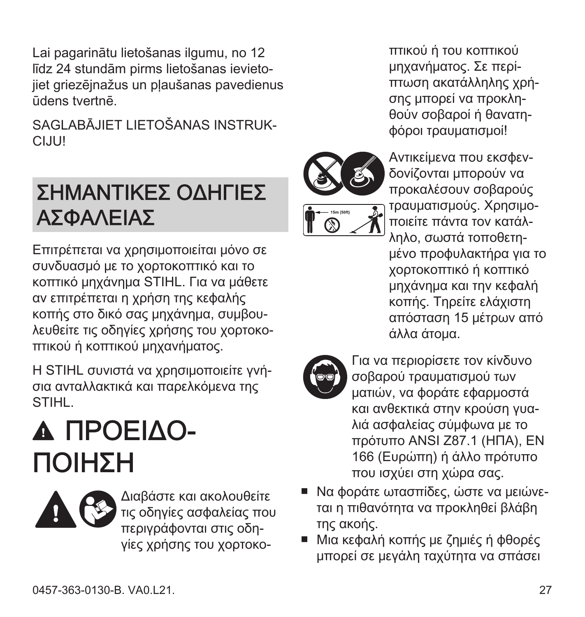<span id="page-26-0"></span>Lai pagarinātu lietošanas ilgumu, no 12 līdz 24 stundām pirms lietošanas ievieto‐ jiet griezējnažus un pļaušanas pavedienus ūdens tvertnē.

SAGLABĀJIET LIETOŠANAS INSTRUK-CIJU!

#### ΣΗΜΑΝΤΙΚΕΣ ΟΔΗΓΙΕΣ ΑΣΦΑΛΕΙΑΣ

Επιτρέπεται να χρησιμοποιείται μόνο σε συνδυασμό με το χορτοκοπτικό και το κοπτικό μηχάνημα STIHL. Για να μάθετε αν επιτρέπεται η χρήση της κεφαλής κοπής στο δικό σας μηχάνημα, συμβου‐ λευθείτε τις οδηγίες χρήσης του χορτοκο‐ πτικού ή κοπτικού μηχανήματος.

Η STIHL συνιστά να χρησιμοποιείτε γνή‐ σια ανταλλακτικά και παρελκόμενα της STIHL.

# ΠΡΟΕΙΔΟ‐ ΠΟΙΗΣΗ

Διαβάστε και ακολουθείτε τις οδηγίες ασφαλείας που περιγράφονται στις οδη‐ γίες χρήσης του χορτοκο‐

πτικού ή του κοπτικού μηχανήματος. Σε περί‐ πτωση ακατάλληλης χρή‐ σης μπορεί να προκλη‐ θούν σοβαροί ή θανατη‐ φόροι τραυματισμοί!



Αντικείμενα που εκσφεν‐ δονίζονται μπορούν να προκαλέσουν σοβαρούς τραυματισμούς. Χρησιμο‐ ποιείτε πάντα τον κατάλ‐ ληλο, σωστά τοποθετη‐ μένο προφυλακτήρα για το χορτοκοπτικό ή κοπτικό μηχάνημα και την κεφαλή κοπής. Τηρείτε ελάχιστη απόσταση 15 μέτρων από άλλα άτομα.



Για να περιορίσετε τον κίνδυνο σοβαρού τραυματισμού των ματιών, να φοράτε εφαρμοστά και ανθεκτικά στην κρούση γυα‐ λιά ασφαλείας σύμφωνα με το πρότυπο ANSI Z87.1 (ΗΠΑ), EN 166 (Ευρώπη) ή άλλο πρότυπο που ισχύει στη χώρα σας.

- Να φοράτε ωτασπίδες, ώστε να μειώνε‐ ται η πιθανότητα να προκληθεί βλάβη της ακοής.
- Μια κεφαλή κοπής με ζημιές ή φθορές μπορεί σε μεγάλη ταχύτητα να σπάσει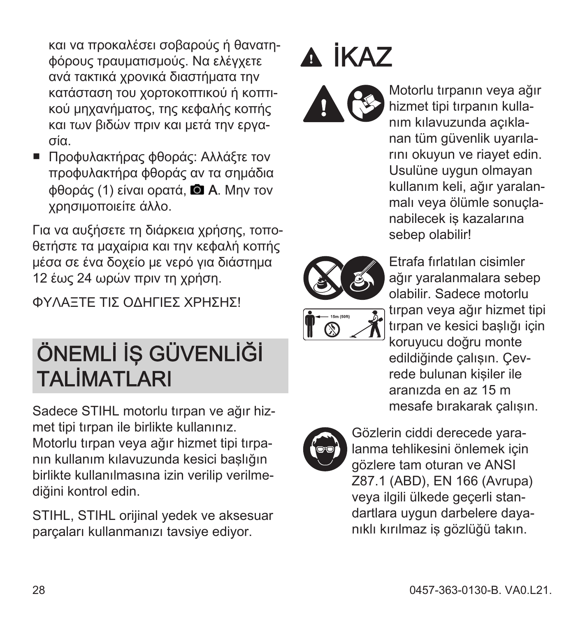<span id="page-27-0"></span>και να προκαλέσει σοβαρούς ή θανατη‐ φόρους τραυματισμούς. Να ελέγχετε ανά τακτικά χρονικά διαστήματα την κατάσταση του χορτοκοπτικού ή κοπτι‐ κού μηχανήματος, της κεφαλής κοπής και των βιδών πριν και μετά την εργα‐ σία.

■ Προφυλακτήρας φθοράς: Αλλάξτε τον προφυλακτήρα φθοράς αν τα σημάδια φθοράς (1) είναι ορατά, A. Μην τον χρησιμοποιείτε άλλο.

Για να αυξήσετε τη διάρκεια χρήσης, τοπο‐ θετήστε τα μαχαίρια και την κεφαλή κοπής μέσα σε ένα δοχείο με νερό για διάστημα 12 έως 24 ωρών πριν τη χρήση.

ΦΥΛΑΞΤΕ ΤΙΣ ΟΔΗΓΙΕΣ ΧΡΗΣΗΣ!

#### ÖNEMLİ İŞ GÜVENLİĞİ TALİMATLARI

Sadece STIHL motorlu tırpan ve ağır hiz‐ met tipi tırpan ile birlikte kullanınız. Motorlu tırpan veya ağır hizmet tipi tırpa‐ nın kullanım kılavuzunda kesici başlığın birlikte kullanılmasına izin verilip verilme‐ diğini kontrol edin.

STIHL, STIHL orijinal yedek ve aksesuar parçaları kullanmanızı tavsiye ediyor.

# A İKAZ



Motorlu tırpanın veya ağır hizmet tipi tırpanın kulla‐ nım kılavuzunda açıkla‐ nan tüm güvenlik uyarıla‐ rını okuyun ve riayet edin. Usulüne uygun olmayan kullanım keli, ağır yaralan‐ malı veya ölümle sonuçla‐ nabilecek iş kazalarına sebep olabilir!







Gözlerin ciddi derecede yara‐ lanma tehlikesini önlemek için gözlere tam oturan ve ANSI Z87.1 (ABD), EN 166 (Avrupa) veya ilgili ülkede geçerli stan‐ dartlara uygun darbelere daya‐ nıklı kırılmaz iş gözlüğü takın.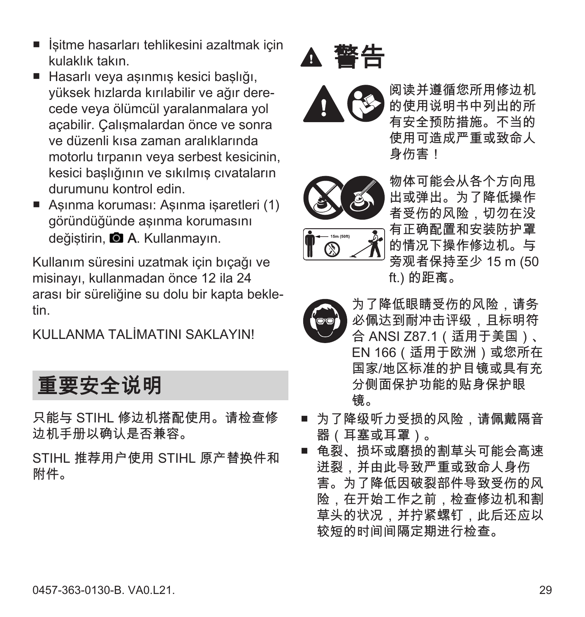- <span id="page-28-0"></span>■ İsitme hasarları tehlikesini azaltmak için kulaklık takın.
- Hasarlı veya aşınmış kesici başlığı, yüksek hızlarda kırılabilir ve ağır dere‐ cede veya ölümcül yaralanmalara yol açabilir. Çalışmalardan önce ve sonra ve düzenli kısa zaman aralıklarında motorlu tırpanın veya serbest kesicinin, kesici başlığının ve sıkılmış cıvataların durumunu kontrol edin.
- Asınma koruması: Asınma isaretleri (1) göründüğünde aşınma korumasını değiştirin, **A.** Kullanmayın.

Kullanım süresini uzatmak için bıçağı ve misinayı, kullanmadan önce 12 ila 24 arası bir süreliğine su dolu bir kapta bekle‐ tin.

KULLANMA TALİMATINI SAKLAYINI

重要安全说明

只能与 STIHL 修边机搭配使用。请检查修 边机手册以确认是否兼容。

STIHL 推荐用户使用 STIHL 原产替换件和 附件。





阅读并遵循您所用修边机 的使用说明书中列出的所 有安全预防措施。不当的 使用可造成严重或致命人 身伤害!





物体可能会从各个方向甩 出或弹出。为了降低操作 者受伤的风险,切勿在没 有正确配置和安装防护罩 的情况下操作修边机。与 旁观者保持至少 15 m (50 ft.) 的距离。



为了降低眼睛受伤的风险,请务 必佩达到耐冲击评级,且标明符 合 ANSI Z87.1(适用于美国)、 EN 166(适用于欧洲)或您所在 国家/地区标准的护目镜或具有充 分侧面保护功能的贴身保护眼 镜。

- 为了降级听力受损的风险,请佩戴隔音 器(耳塞或耳罩)。
- 龟裂、损坏或磨损的割草头可能会高速 迸裂,并由此导致严重或致命人身伤 害。为了降低因破裂部件导致受伤的风 险,在开始工作之前,检查修边机和割 草头的状况,并拧紧螺钉,此后还应以 较短的时间间隔定期进行检查。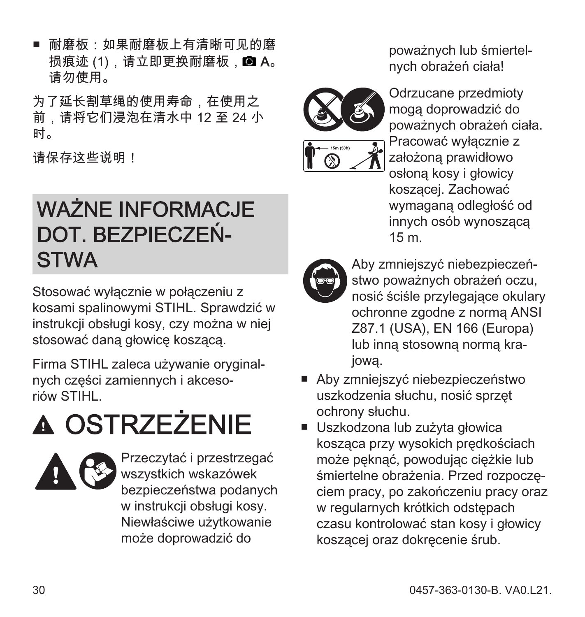<span id="page-29-0"></span>■ 耐磨板:如果耐磨板上有清晰可见的磨 损痕迹 $(1)$ , 请立即更换耐磨板,  $\blacksquare$  A。 请勿使用。

为了延长割草绳的使用寿命,在使用之 前,请将它们浸泡在清水中 12 至 24 小 时。

请保存这些说明!

#### WAŻNE INFORMACJE DOT. BEZPIECZEŃ‐ **STWA**

Stosować wyłącznie w połączeniu z kosami spalinowymi STIHL. Sprawdzić w instrukcji obsługi kosy, czy można w niej stosować daną głowicę koszącą.

Firma STIHL zaleca używanie oryginal‐ nych części zamiennych i akceso‐ riów STIHL.

# **A OSTRZEŻENIE**



Przeczytać i przestrzegać wszystkich wskazówek bezpieczeństwa podanych w instrukcji obsługi kosy. Niewłaściwe użytkowanie może doprowadzić do

poważnych lub śmiertel‐ nych obrażeń ciała!



Odrzucane przedmioty mogą doprowadzić do poważnych obrażeń ciała. Pracować wyłącznie z założoną prawidłowo osłoną kosy i głowicy koszącej. Zachować wymaganą odległość od innych osób wynoszącą 15 m.



Aby zmniejszyć niebezpieczeń‐ stwo poważnych obrażeń oczu, nosić ściśle przylegające okulary ochronne zgodne z normą ANSI Z87.1 (USA), EN 166 (Europa) lub inną stosowną normą kra‐ jową.

- Aby zmniejszyć niebezpieczeństwo uszkodzenia słuchu, nosić sprzęt ochrony słuchu.
- Uszkodzona lub zużyta głowica kosząca przy wysokich prędkościach może pęknąć, powodując ciężkie lub śmiertelne obrażenia. Przed rozpoczę‐ ciem pracy, po zakończeniu pracy oraz w regularnych krótkich odstępach czasu kontrolować stan kosy i głowicy koszącej oraz dokręcenie śrub.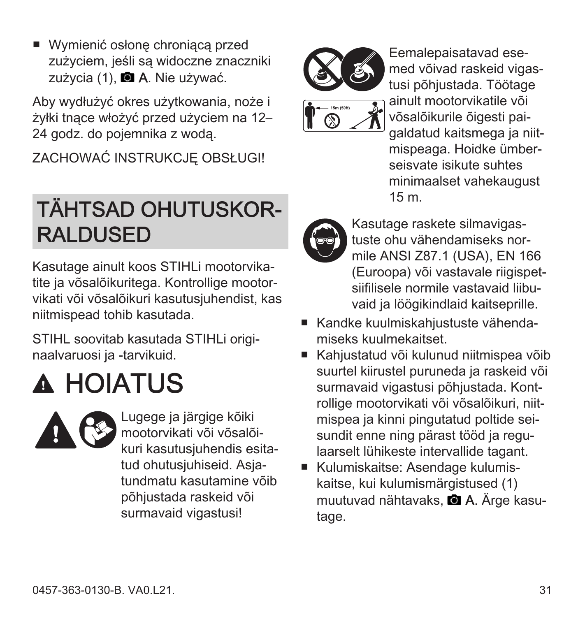<span id="page-30-0"></span>■ Wymienić osłone chroniącą przed zużyciem, jeśli są widoczne znaczniki zużycia (1), **a A**. Nie używać.

Aby wydłużyć okres użytkowania, noże i żyłki tnące włożyć przed użyciem na 12– 24 godz. do pojemnika z wodą.

ZACHOWAĆ INSTRUKCJĘ OBSŁUGI!

#### TÄHTSAD OHUTUSKOR‐ RALDUSED

Kasutage ainult koos STIHLi mootorvika‐ tite ja võsalõikuritega. Kontrollige mootorvikati või võsalõikuri kasutusjuhendist, kas niitmispead tohib kasutada.

STIHL soovitab kasutada STIHLi origi‐ naalvaruosi ja -tarvikuid.

# **A HOIATUS**



Lugege ja järgige kõiki mootorvikati või võsalõi‐ kuri kasutusjuhendis esita‐ tud ohutusiuhiseid. Asiatundmatu kasutamine võib põhjustada raskeid või surmavaid vigastusi!



Eemalepaisatavad ese‐ med võivad raskeid vigas‐ tusi põhjustada. Töötage ainult mootorvikatile või võsalõikurile õigesti pai‐ galdatud kaitsmega ja niit‐ mispeaga. Hoidke ümber‐ seisvate isikute suhtes minimaalset vahekaugust 15 m.



- Kasutage raskete silmavigas‐ tuste ohu vähendamiseks nor‐ mile ANSI Z87.1 (USA), EN 166 (Euroopa) või vastavale riigispet‐ siifilisele normile vastavaid liibu‐ vaid ja löögikindlaid kaitseprille.
- Kandke kuulmiskahjustuste vähendamiseks kuulmekaitset.
- Kahjustatud või kulunud niitmispea võib suurtel kiirustel puruneda ja raskeid või surmavaid vigastusi põhjustada. Kont‐ rollige mootorvikati või võsalõikuri, niit‐ mispea ja kinni pingutatud poltide sei‐ sundit enne ning pärast tööd ja regu‐ laarselt lühikeste intervallide tagant.
- Kulumiskaitse: Asendage kulumiskaitse, kui kulumismärgistused (1) muutuvad nähtavaks, **■ A**. Ärge kasutage.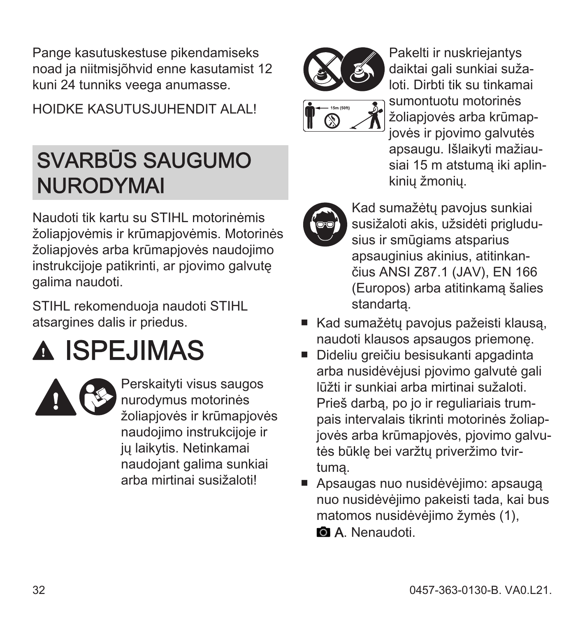<span id="page-31-0"></span>Pange kasutuskestuse pikendamiseks noad ja niitmisjõhvid enne kasutamist 12 kuni 24 tunniks veega anumasse.

HOIDKE KASUTUS JUHENDIT ALALI

#### SVARBŪS SAUGUMO NURODYMAI

Naudoti tik kartu su STIHL motorinėmis žoliapjovėmis ir krūmapjovėmis. Motorinės žoliapjovės arba krūmapjovės naudojimo instrukcijoje patikrinti, ar pjovimo galvutę galima naudoti.

STIHL rekomenduoja naudoti STIHL atsargines dalis ir priedus.

### A ISPEJIMAS



Perskaityti visus saugos nurodymus motorinės žoliapjovės ir krūmapjovės naudojimo instrukcijoje ir ju laikytis. Netinkamai naudojant galima sunkiai arba mirtinai susižaloti!



loti. Dirbti tik su tinkamai sumontuotu motorinės žoliapjovės arba krūmap‐ jovės ir pjovimo galvutės apsaugu. Išlaikyti mažiau‐ siai 15 m atstumą iki aplin‐

kinių žmonių.



Kad sumažėtų pavojus sunkiai susižaloti akis, užsidėti prigludu‐ sius ir smūgiams atsparius apsauginius akinius, atitinkan‐ čius ANSI Z87.1 (JAV), EN 166 (Europos) arba atitinkamą šalies standartą.

- Kad sumažėtu pavojus pažeisti klausa. naudoti klausos apsaugos priemonę.
- Dideliu greičiu besisukanti apgadinta arba nusidėvėjusi pjovimo galvutė gali lūžti ir sunkiai arba mirtinai sužaloti. Prieš darbą, po jo ir reguliariais trum‐ pais intervalais tikrinti motorinės žoliap‐ jovės arba krūmapjovės, pjovimo galvu‐ tės būklę bei varžtų priveržimo tvir‐ tumą.
- Apsaugas nuo nusidėvėjimo: apsauga nuo nusidėvėjimo pakeisti tada, kai bus matomos nusidėvėjimo žymės (1),

**M. A.** Nenaudoti.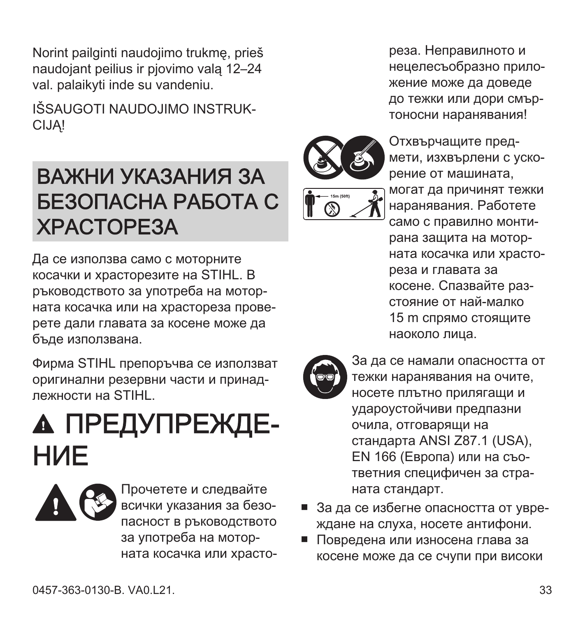<span id="page-32-0"></span>Norint pailginti naudojimo trukmę, prieš naudojant peilius ir pjovimo valą 12–24 val. palaikyti inde su vandeniu.

IŠSAUGOTI NAUDOJIMO INSTRUK‐ CIJĄ!

#### ВАЖНИ УКАЗАНИЯ ЗА БЕЗОПАСНА РАБОТА С ХРАСТОРЕЗА

Да се използва само с моторните косачки и храсторезите на STIHL. В ръководството за употреба на мотор‐ ната косачка или на храстореза прове‐ рете дали главата за косене може да бъде използвана.

Фирма STIHL препоръчва се използват оригинални резервни части и принад‐ лежности на STIHL.

### А ПРЕДУПРЕЖДЕ-НИЕ



Прочетете и следвайте всички указания за безо‐ пасност в ръководството за употреба на мотор‐ ната косачка или храсто‐

реза. Неправилното и нецелесъобразно прило‐ жение може да доведе до тежки или дори смър‐ тоносни наранявания!



Отхвърчащите пред‐ мети, изхвърлени с уско‐ рение от машината, могат да причинят тежки наранявания. Работете само с правилно монти‐ рана защита на мотор‐ ната косачка или храсто‐ реза и главата за косене. Спазвайте раз‐ стояние от най-малко 15 m спрямо стоящите наоколо лица.



За да се намали опасността от тежки наранявания на очите, носете плътно прилягащи и удароустойчиви предпазни очила, отговарящи на стандарта ANSI Z87.1 (USA), EN 166 (Европа) или на съо‐ тветния специфичен за стра‐ ната стандарт.

- За да се избегне опасността от увреждане на слуха, носете антифони.
- Повредена или износена глава за косене може да се счупи при високи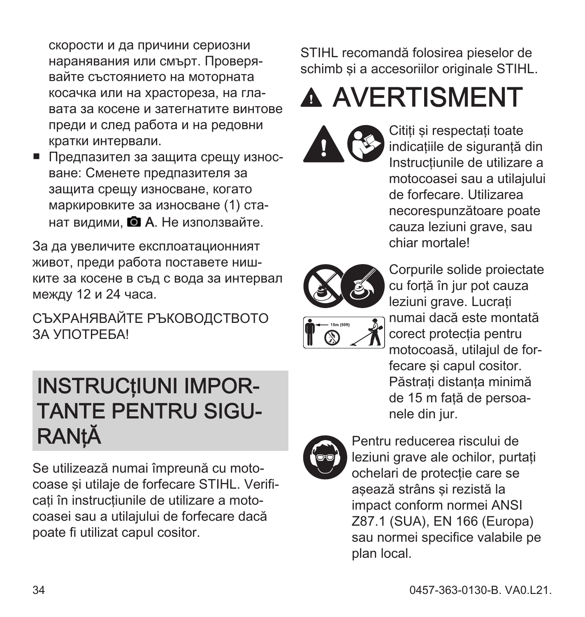<span id="page-33-0"></span>скорости и да причини сериозни наранявания или смърт. Проверя‐ вайте състоянието на моторната косачка или на храстореза, на гла‐ вата за косене и затегнатите винтове преди и след работа и на редовни кратки интервали.

■ Предпазител за защита срещу износване: Сменете предпазителя за защита срещу износване, когато маркировките за износване (1) ста‐ нат видими.  $\blacksquare$  А. Не използвайте.

За да увеличите експлоатационният живот, преди работа поставете ниш‐ ките за косене в съд с вода за интервал между 12 и 24 часа.

СЪХРАНЯВАЙТЕ РЪКОВОДСТВОТО ЗА УПОТРЕБА!

#### INSTRUCţIUNI IMPOR‐ TANTE PENTRU SIGU‐ **RANtĂ**

Se utilizează numai împreună cu moto‐ coase și utilaie de forfecare STIHL. Verificati în instructiunile de utilizare a motocoasei sau a utilajului de forfecare dacă poate fi utilizat capul cositor.

STIHL recomandă folosirea pieselor de schimb si a accesoriilor originale STIHL.

# A AVERTISMENT



Cititi și respectați toate indicatiile de sigurantă din Instructiunile de utilizare a motocoasei sau a utilajului de forfecare. Utilizarea necorespunzătoare poate cauza leziuni grave, sau chiar mortale!



Corpurile solide proiectate cu forţă în jur pot cauza leziuni grave. Lucrati numai dacă este montată corect protectia pentru motocoasă, utilajul de for‐ fecare și capul cositor. Păstrati distanța minimă de 15 m fată de persoanele din jur.



Pentru reducerea riscului de leziuni grave ale ochilor, purtati ochelari de protectie care se aşează strâns şi rezistă la impact conform normei ANSI Z87.1 (SUA), EN 166 (Europa) sau normei specifice valabile pe plan local.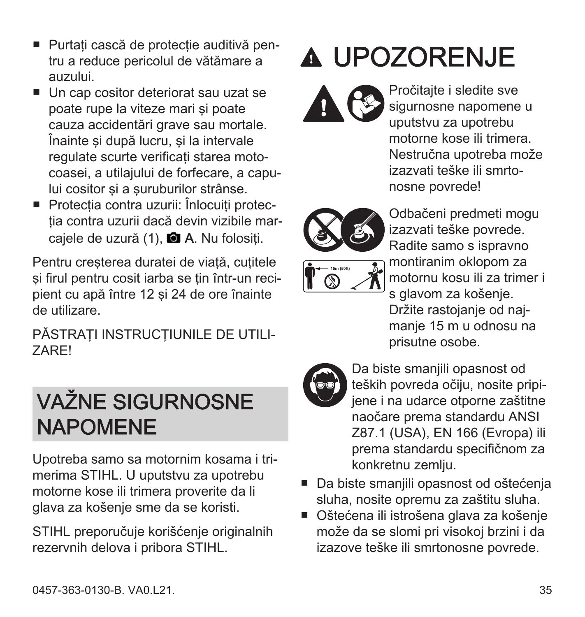- <span id="page-34-0"></span>■ Purtati cască de protectie auditivă pentru a reduce pericolul de vătămare a auzului.
- Un cap cositor deteriorat sau uzat se poate rupe la viteze mari şi poate cauza accidentări grave sau mortale. Înainte și după lucru, și la intervale regulate scurte verificati starea motocoasei, a utilajului de forfecare, a capu‐ lui cositor și a suruburilor strânse.
- Protectia contra uzurii: Înlocuiti protectia contra uzurii dacă devin vizibile marcajele de uzură (1), **Q A**. Nu folositi.

Pentru cresterea duratei de viață, cuțitele si firul pentru cosit iarba se tin într-un recipient cu apă între 12 şi 24 de ore înainte de utilizare.

PĂSTRATI INSTRUCTIUNILE DE UTILI-ZARE!

#### VAŽNE SIGURNOSNE NAPOMENE

Upotreba samo sa motornim kosama i tri‐ merima STIHL. U uputstvu za upotrebu motorne kose ili trimera proverite da li glava za košenje sme da se koristi.

STIHL preporučuje korišćenje originalnih rezervnih delova i pribora STIHL.

# UPOZORENJE

Pročitajte i sledite sve sigurnosne napomene u uputstvu za upotrebu motorne kose ili trimera. Nestručna upotreba može izazvati teške ili smrto‐ nosne povrede!



Odbačeni predmeti mogu izazvati teške povrede. Radite samo s ispravno montiranim oklopom za motornu kosu ili za trimer i s glavom za košenje. Držite rastojanje od naj‐ manje 15 m u odnosu na prisutne osobe.



Da biste smanjili opasnost od teških povreda očiju, nosite pripi‐ jene i na udarce otporne zaštitne naočare prema standardu ANSI Z87.1 (USA), EN 166 (Evropa) ili prema standardu specifičnom za konkretnu zemlju.

- Da biste smanjili opasnost od oštećenja sluha, nosite opremu za zaštitu sluha.
- Oštećena ili istrošena glava za košenje može da se slomi pri visokoj brzini i da izazove teške ili smrtonosne povrede.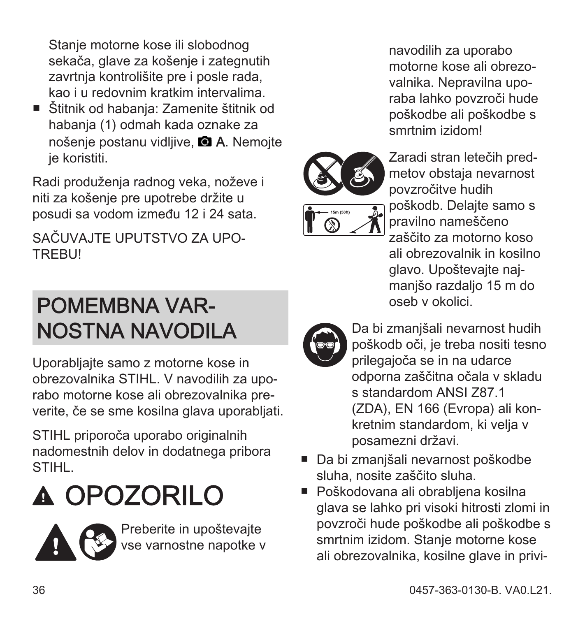<span id="page-35-0"></span>Stanje motorne kose ili slobodnog sekača, glave za košenje i zategnutih zavrtnia kontrolišite pre i posle rada. kao i u redovnim kratkim intervalima.

■ Štitnik od habanja: Zamenite štitnik od habanja (1) odmah kada oznake za nošenje postanu vidlijve. **A.** Nemojte je koristiti.

Radi produženja radnog veka, noževe i niti za košenje pre upotrebe držite u posudi sa vodom između 12 i 24 sata.

SAČUVAJTE UPUTSTVO ZA UPO‐ **TREBUI** 

#### POMEMBNA VAR‐ NOSTNA NAVODILA

Uporabljajte samo z motorne kose in obrezovalnika STIHL. V navodilih za upo‐ rabo motorne kose ali obrezovalnika pre‐ verite, če se sme kosilna glava uporabljati.

STIHL priporoča uporabo originalnih nadomestnih delov in dodatnega pribora STIHL.

# OPOZORILO



navodilih za uporabo motorne kose ali obrezo‐ valnika. Nepravilna upo‐ raba lahko povzroči hude poškodbe ali poškodbe s smrtnim izidom!



Zaradi stran letečih pred‐ metov obstaja nevarnost povzročitve hudih poškodb. Delajte samo s pravilno nameščeno zaščito za motorno koso ali obrezovalnik in kosilno glavo. Upoštevajte naj‐ manjšo razdaljo 15 m do oseb v okolici.



Da bi zmanjšali nevarnost hudih poškodb oči, je treba nositi tesno prilegajoča se in na udarce odporna zaščitna očala v skladu s standardom ANSI 787.1 (ZDA), EN 166 (Evropa) ali kon‐ kretnim standardom, ki velja v posamezni državi.

- Da bi zmanišali nevarnost poškodbe sluha, nosite zaščito sluha.
- Poškodovana ali obrabljena kosilna glava se lahko pri visoki hitrosti zlomi in povzroči hude poškodbe ali poškodbe s smrtnim izidom. Stanje motorne kose ali obrezovalnika, kosilne glave in privi‐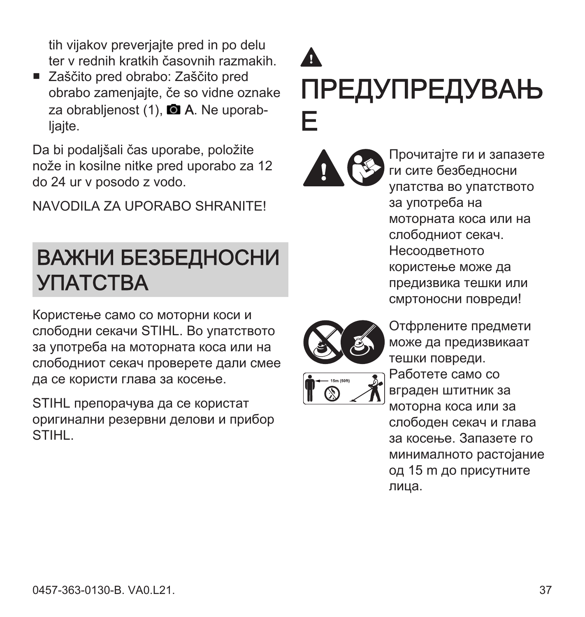<span id="page-36-0"></span>tih vijakov preverjajte pred in po delu ter v rednih kratkih časovnih razmakih.

■ Zaščito pred obrabo: Zaščito pred obrabo zamenjajte, če so vidne oznake za obrablienost  $(1)$ . **a** A. Ne uporabliaite.

Da bi podaljšali čas uporabe, položite nože in kosilne nitke pred uporabo za 12 do 24 ur v posodo z vodo.

NAVODILA ZA UPORABO SHRANITE!

#### ВАЖНИ БЕЗБЕДНОСНИ УПАТСТВА

Користење само со моторни коси и слободни секачи STIHL. Во упатството за употреба на моторната коса или на слободниот секач проверете дали смее да се користи глава за косење.

STIHL препорачува да се користат оригинални резервни делови и прибор STIHL.

### $\mathbf{\Lambda}$ ПРЕДУПРЕДУВАЊ Е

Прочитајте ги и запазете ги сите безбедносни упатства во упатството за употреба на моторната коса или на слободниот секач. Несоодветното користење може да предизвика тешки или смртоносни повреди!



Отфрлените предмети може да предизвикаат тешки повреди. Работете само со вграден штитник за моторна коса или за слободен секач и глава за косење. Запазете го минималното растојание од 15 m до присутните лица.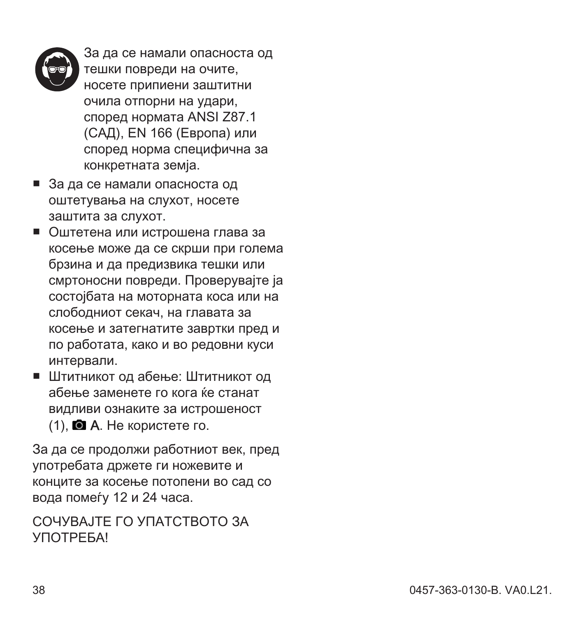

За да се намали опасноста од тешки повреди на очите, носете припиени заштитни очила отпорни на удари, според нормата ANSI Z87.1 (САД), EN 166 (Eвропа) или според норма специфична за конкретната земја.

- За да се намали опасноста од оштетувања на слухот, носете заштита за слухот.
- Оштетена или истрошена глава за косење може да се скрши при голема брзина и да предизвика тешки или смртоносни повреди. Проверувајте ја состојбата на моторната коса или на слободниот секач, на главата за косење и затегнатите завртки пред и по работата, како и во редовни куси интервали.
- Штитникот од абење: Штитникот од абење заменете го кога ќе станат видливи ознаките за истрошеност  $(1)$ .  $\blacksquare$  А. Не користете го.

За да се продолжи работниот век, пред употребата држете ги ножевите и конците за косење потопени во сад со вода помеѓу 12 и 24 часа.

#### СОЧУВАЈТЕ ГО УПАТСТВОТО ЗА **УПОТРЕБА!**